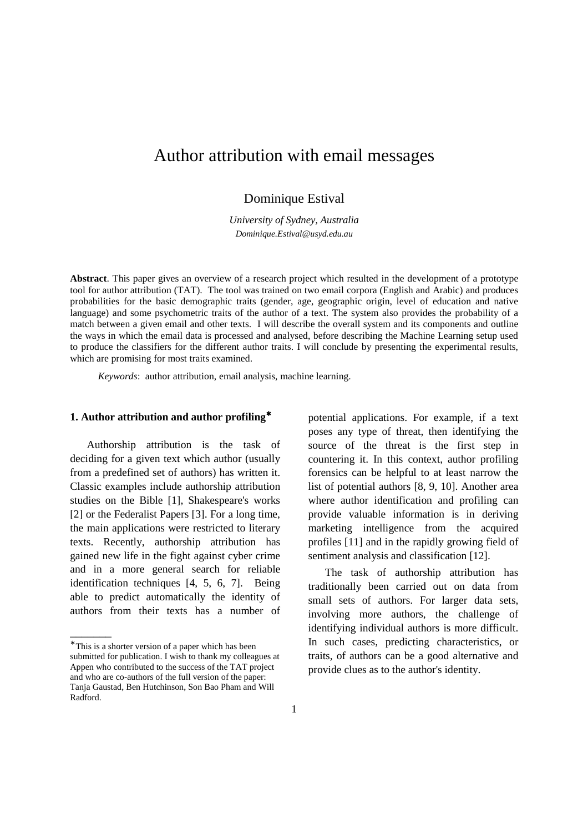# Author attribution with email messages

Dominique Estival

*University of Sydney, Australia Dominique.Estival@usyd.edu.au*

**Abstract**. This paper gives an overview of a research project which resulted in the development of a prototype tool for author attribution (TAT). The tool was trained on two email corpora (English and Arabic) and produces probabilities for the basic demographic traits (gender, age, geographic origin, level of education and native language) and some psychometric traits of the author of a text. The system also provides the probability of a match between a given email and other texts. I will describe the overall system and its components and outline the ways in which the email data is processed and analysed, before describing the Machine Learning setup used to produce the classifiers for the different author traits. I will conclude by presenting the experimental results, which are promising for most traits examined.

*Keywords*: author attribution, email analysis, machine learning.

# **1. Author attribution and author profiling**<sup>∗</sup>

Authorship attribution is the task of deciding for a given text which author (usually from a predefined set of authors) has written it. Classic examples include authorship attribution studies on the Bible [1], Shakespeare's works [2] or the Federalist Papers [3]. For a long time, the main applications were restricted to literary texts. Recently, authorship attribution has gained new life in the fight against cyber crime and in a more general search for reliable identification techniques [4, 5, 6, 7]. Being able to predict automatically the identity of authors from their texts has a number of

 $\overline{\phantom{a}}$ 

potential applications. For example, if a text poses any type of threat, then identifying the source of the threat is the first step in countering it. In this context, author profiling forensics can be helpful to at least narrow the list of potential authors [8, 9, 10]. Another area where author identification and profiling can provide valuable information is in deriving marketing intelligence from the acquired profiles [11] and in the rapidly growing field of sentiment analysis and classification [12].

The task of authorship attribution has traditionally been carried out on data from small sets of authors. For larger data sets, involving more authors, the challenge of identifying individual authors is more difficult. In such cases, predicting characteristics, or traits, of authors can be a good alternative and provide clues as to the author's identity.

<sup>∗</sup> This is a shorter version of a paper which has been submitted for publication. I wish to thank my colleagues at Appen who contributed to the success of the TAT project and who are co-authors of the full version of the paper: Tanja Gaustad, Ben Hutchinson, Son Bao Pham and Will Radford.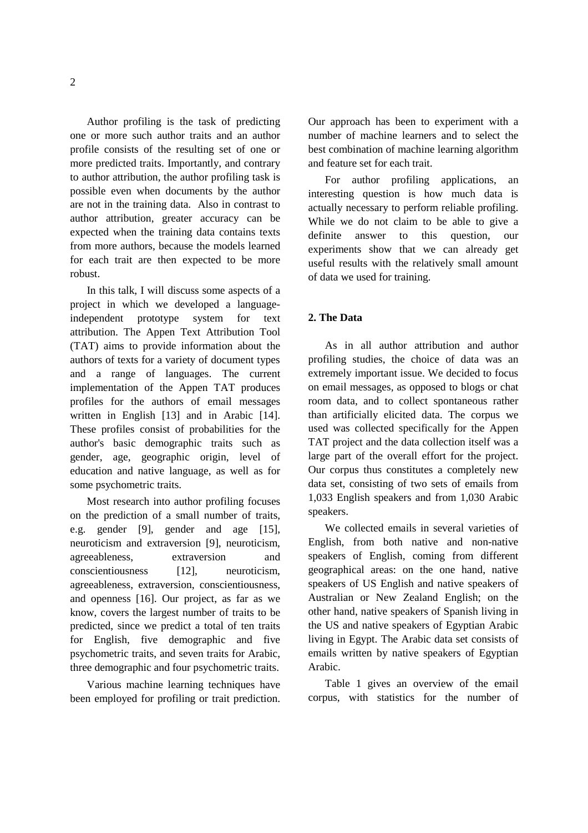Author profiling is the task of predicting one or more such author traits and an author profile consists of the resulting set of one or more predicted traits. Importantly, and contrary to author attribution, the author profiling task is possible even when documents by the author are not in the training data. Also in contrast to author attribution, greater accuracy can be expected when the training data contains texts from more authors, because the models learned for each trait are then expected to be more robust.

In this talk, I will discuss some aspects of a project in which we developed a languageindependent prototype system for text attribution. The Appen Text Attribution Tool (TAT) aims to provide information about the authors of texts for a variety of document types and a range of languages. The current implementation of the Appen TAT produces profiles for the authors of email messages written in English [13] and in Arabic [14]. These profiles consist of probabilities for the author's basic demographic traits such as gender, age, geographic origin, level of education and native language, as well as for some psychometric traits.

Most research into author profiling focuses on the prediction of a small number of traits, e.g. gender [9], gender and age [15], neuroticism and extraversion [9], neuroticism, agreeableness, extraversion and conscientiousness [12], neuroticism, agreeableness, extraversion, conscientiousness, and openness [16]. Our project, as far as we know, covers the largest number of traits to be predicted, since we predict a total of ten traits for English, five demographic and five psychometric traits, and seven traits for Arabic, three demographic and four psychometric traits.

Various machine learning techniques have been employed for profiling or trait prediction.

Our approach has been to experiment with a number of machine learners and to select the best combination of machine learning algorithm and feature set for each trait.

For author profiling applications, an interesting question is how much data is actually necessary to perform reliable profiling. While we do not claim to be able to give a definite answer to this question, our experiments show that we can already get useful results with the relatively small amount of data we used for training.

# **2. The Data**

As in all author attribution and author profiling studies, the choice of data was an extremely important issue. We decided to focus on email messages, as opposed to blogs or chat room data, and to collect spontaneous rather than artificially elicited data. The corpus we used was collected specifically for the Appen TAT project and the data collection itself was a large part of the overall effort for the project. Our corpus thus constitutes a completely new data set, consisting of two sets of emails from 1,033 English speakers and from 1,030 Arabic speakers.

We collected emails in several varieties of English, from both native and non-native speakers of English, coming from different geographical areas: on the one hand, native speakers of US English and native speakers of Australian or New Zealand English; on the other hand, native speakers of Spanish living in the US and native speakers of Egyptian Arabic living in Egypt. The Arabic data set consists of emails written by native speakers of Egyptian Arabic.

Table 1 gives an overview of the email corpus, with statistics for the number of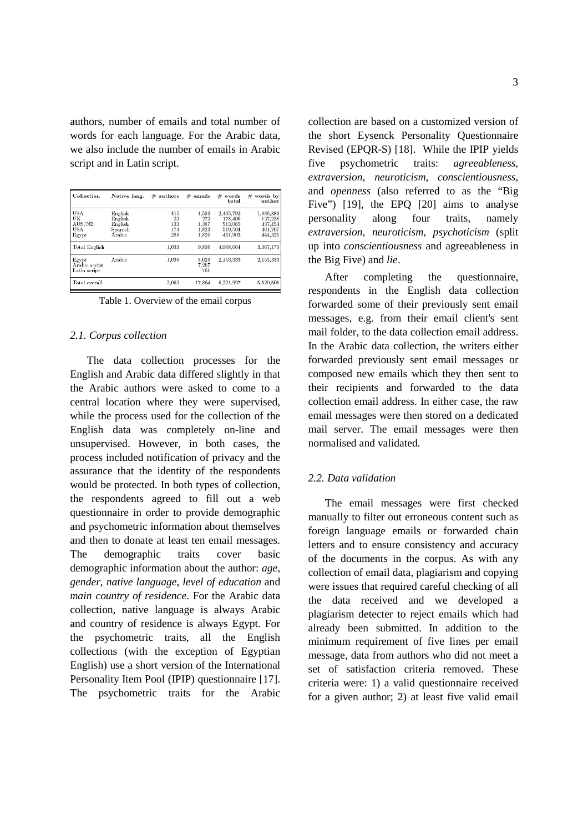authors, number of emails and total number of words for each language. For the Arabic data, we also include the number of emails in Arabic script and in Latin script.

| Collection                                        | Native lang.                                       | $#$ authors                    | $#$ emails                              | $#$ words<br>total                                    | $#$ words by<br>author                                |
|---------------------------------------------------|----------------------------------------------------|--------------------------------|-----------------------------------------|-------------------------------------------------------|-------------------------------------------------------|
| <b>USA</b><br>UK<br>AUS/NZ<br><b>USA</b><br>Egypt | English<br>English<br>English<br>Spanish<br>Arabic | 415<br>23<br>133<br>174<br>288 | 4.533<br>273<br>1.387<br>1,823<br>1,820 | 2.405.792<br>178,400<br>513,065<br>519,504<br>451,903 | 1,886,389<br>137,238<br>437,454<br>461,767<br>444,325 |
| Total English                                     |                                                    | 1,033                          | 9,836                                   | 4,068,664                                             | 3,367,173                                             |
| Egypt<br>Arabic script<br>Latin script            | Arabic                                             | 1,030                          | 8,028<br>7,267<br>761                   | 2,153,333                                             | 2,153,333                                             |
| Total overall                                     |                                                    | 2,063                          | 17,864                                  | 6,221,997                                             | 5,520,506                                             |

Table 1. Overview of the email corpus

## *2.1. Corpus collection*

The data collection processes for the English and Arabic data differed slightly in that the Arabic authors were asked to come to a central location where they were supervised, while the process used for the collection of the English data was completely on-line and unsupervised. However, in both cases, the process included notification of privacy and the assurance that the identity of the respondents would be protected. In both types of collection, the respondents agreed to fill out a web questionnaire in order to provide demographic and psychometric information about themselves and then to donate at least ten email messages. The demographic traits cover basic demographic information about the author: *age*, *gender*, *native language*, *level of education* and *main country of residence*. For the Arabic data collection, native language is always Arabic and country of residence is always Egypt. For the psychometric traits, all the English collections (with the exception of Egyptian English) use a short version of the International Personality Item Pool (IPIP) questionnaire [17]. The psychometric traits for the Arabic collection are based on a customized version of the short Eysenck Personality Questionnaire Revised (EPQR-S) [18]. While the IPIP yields five psychometric traits: *agreeableness*, *extraversion*, *neuroticism*, *conscientiousness*, and *openness* (also referred to as the "Big Five") [19], the EPQ [20] aims to analyse personality along four traits, namely *extraversion*, *neuroticism*, *psychoticism* (split up into *conscientiousness* and agreeableness in the Big Five) and *lie*.

After completing the questionnaire, respondents in the English data collection forwarded some of their previously sent email messages, e.g. from their email client's sent mail folder, to the data collection email address. In the Arabic data collection, the writers either forwarded previously sent email messages or composed new emails which they then sent to their recipients and forwarded to the data collection email address. In either case, the raw email messages were then stored on a dedicated mail server. The email messages were then normalised and validated.

#### *2.2. Data validation*

The email messages were first checked manually to filter out erroneous content such as foreign language emails or forwarded chain letters and to ensure consistency and accuracy of the documents in the corpus. As with any collection of email data, plagiarism and copying were issues that required careful checking of all the data received and we developed a plagiarism detecter to reject emails which had already been submitted. In addition to the minimum requirement of five lines per email message, data from authors who did not meet a set of satisfaction criteria removed. These criteria were: 1) a valid questionnaire received for a given author; 2) at least five valid email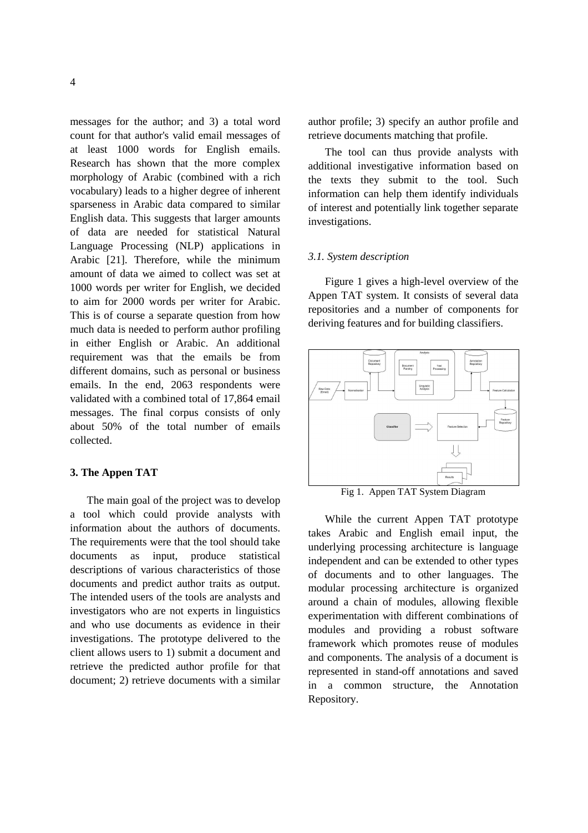messages for the author; and 3) a total word count for that author's valid email messages of at least 1000 words for English emails. Research has shown that the more complex morphology of Arabic (combined with a rich vocabulary) leads to a higher degree of inherent sparseness in Arabic data compared to similar English data. This suggests that larger amounts of data are needed for statistical Natural Language Processing (NLP) applications in Arabic [21]. Therefore, while the minimum amount of data we aimed to collect was set at 1000 words per writer for English, we decided to aim for 2000 words per writer for Arabic. This is of course a separate question from how much data is needed to perform author profiling in either English or Arabic. An additional requirement was that the emails be from different domains, such as personal or business emails. In the end, 2063 respondents were validated with a combined total of 17,864 email messages. The final corpus consists of only about 50% of the total number of emails collected.

# **3. The Appen TAT**

The main goal of the project was to develop a tool which could provide analysts with information about the authors of documents. The requirements were that the tool should take documents as input, produce statistical descriptions of various characteristics of those documents and predict author traits as output. The intended users of the tools are analysts and investigators who are not experts in linguistics and who use documents as evidence in their investigations. The prototype delivered to the client allows users to 1) submit a document and retrieve the predicted author profile for that document; 2) retrieve documents with a similar author profile; 3) specify an author profile and retrieve documents matching that profile.

The tool can thus provide analysts with additional investigative information based on the texts they submit to the tool. Such information can help them identify individuals of interest and potentially link together separate investigations.

## *3.1. System description*

Figure 1 gives a high-level overview of the Appen TAT system. It consists of several data repositories and a number of components for deriving features and for building classifiers.



Fig 1. Appen TAT System Diagram

While the current Appen TAT prototype takes Arabic and English email input, the underlying processing architecture is language independent and can be extended to other types of documents and to other languages. The modular processing architecture is organized around a chain of modules, allowing flexible experimentation with different combinations of modules and providing a robust software framework which promotes reuse of modules and components. The analysis of a document is represented in stand-off annotations and saved in a common structure, the Annotation Repository.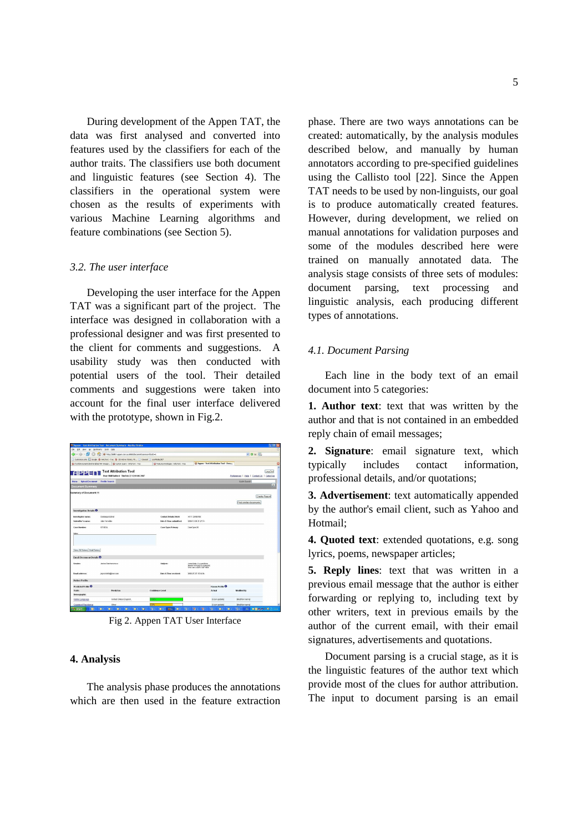During development of the Appen TAT, the data was first analysed and converted into features used by the classifiers for each of the author traits. The classifiers use both document and linguistic features (see Section 4). The classifiers in the operational system were chosen as the results of experiments with various Machine Learning algorithms and feature combinations (see Section 5).

#### *3.2. The user interface*

Developing the user interface for the Appen TAT was a significant part of the project. The interface was designed in collaboration with a professional designer and was first presented to the client for comments and suggestions. A usability study was then conducted with potential users of the tool. Their detailed comments and suggestions were taken into account for the final user interface delivered with the prototype, shown in Fig.2.

|                                       | Appen - Text Attribution Teel - Decument Summary - Nezilla Firefox                       |           |                                           |             |                                                                                    |                                         |                                             | $ \sigma$ $x$         |                          |
|---------------------------------------|------------------------------------------------------------------------------------------|-----------|-------------------------------------------|-------------|------------------------------------------------------------------------------------|-----------------------------------------|---------------------------------------------|-----------------------|--------------------------|
| Elle Edit yers Go Bookmarks Sook Help |                                                                                          |           |                                           |             |                                                                                    |                                         |                                             |                       |                          |
| 69<br>æ.                              | (6) http://delli7.appen.com.nu.t000/documentSunmary/docEl=1                              |           |                                           |             |                                                                                    |                                         | $\vee$ 0 $\infty$ KL                        |                       |                          |
|                                       | Customize Links C Coople & Adolf ed. Trac. @ (b) Active Tokets, M Dozenal D LevinGba2007 |           |                                           |             |                                                                                    |                                         |                                             |                       |                          |
|                                       | @ (trusk/Documents/Deliverables/TAT-Oreign   @ Custom Query - ArkoText - Trac            |           | to Features/Intologies - Arkollect - Trac |             |                                                                                    | 28 Appen - Text Attribution Tool - Docu |                                             |                       | ø                        |
|                                       | <b>Text Attribution Tool</b><br>User: Will Radierd The Feb 22 12:01:06 2007              |           |                                           |             |                                                                                    |                                         | Preferences: I Help I Contact US I CyberCop | LogOut                | $\overline{\phantom{a}}$ |
| Home Upload Document                  | <b>Profile Search</b>                                                                    |           |                                           |             |                                                                                    |                                         | Quick Search                                |                       |                          |
| Document Summary                      |                                                                                          |           |                                           |             |                                                                                    |                                         |                                             | $q_0$                 |                          |
| <b>Summary of Document #1</b>         |                                                                                          |           |                                           |             |                                                                                    |                                         | Find similar documents:                     | <b>Create Fiegort</b> |                          |
| Investigation Details O               |                                                                                          |           |                                           |             |                                                                                    |                                         |                                             |                       |                          |
| Investigates manner                   | Dowwwaye Estinat                                                                         |           | <b>Contact Details: Wash</b>              |             | +51 1 23456708                                                                     |                                         |                                             |                       |                          |
| <b>Submitter's names</b>              | <b>Julie Weissiller</b>                                                                  |           | <b>Date &amp; Time submitteds</b>         |             | 2006-12-09 21:27:14                                                                |                                         |                                             |                       |                          |
| <b>Case Bunders</b>                   | 6715834                                                                                  |           | <b>Case Type: Primary</b>                 | CaseType-OE |                                                                                    |                                         |                                             |                       |                          |
| Notes                                 |                                                                                          |           |                                           |             |                                                                                    |                                         |                                             |                       |                          |
| View All Notes Add Notes              |                                                                                          |           |                                           |             |                                                                                    |                                         |                                             |                       |                          |
| <b>Email Document Dotails O</b>       |                                                                                          |           |                                           |             |                                                                                    |                                         |                                             |                       |                          |
| Services                              | Janisa Giantamorenzo                                                                     |           | <b>Subject:</b>                           |             | Ineed help- if u contitient<br>please forward to pomecoe.<br>who can U23F-12471684 |                                         |                                             |                       |                          |
| travel address:                       | inmohrls94@mon.com                                                                       |           | Date & Time received:                     |             | 2006-07-07 1514:04                                                                 |                                         |                                             |                       |                          |
| <b>Author Prefile</b>                 |                                                                                          |           |                                           |             |                                                                                    |                                         |                                             |                       |                          |
| Predicted Profile <sup>O</sup>        |                                                                                          |           |                                           |             |                                                                                    | <b>Naowa Prette O</b>                   |                                             |                       |                          |
| Traits                                | Prediction                                                                               |           | Confidence Lovel                          |             |                                                                                    | Actual                                  | <b>Modified By</b>                          |                       |                          |
| Demographic                           |                                                                                          |           |                                           |             |                                                                                    |                                         |                                             |                       |                          |
| Natwi Language                        | United States English.                                                                   | 101%      |                                           |             |                                                                                    | <b>Diser updated</b>                    | Modifier name!                              |                       |                          |
| Country of Residence                  | Cener                                                                                    | 88%       |                                           |             |                                                                                    | <b>R</b> oomus \$450                    | Moddler name)                               |                       |                          |
| start<br><b>R</b>                     | <b>G</b> P<br><b>C</b> <sub>U</sub><br><b>C</b> <sub>P</sub><br>■☆<br>■☆                 | 関係<br>By: | 電文<br>$\mathbf{v}$ .<br>■☆                | 随工          | 随下<br>图1                                                                           | 整工<br>e.<br>開発                          | 開立<br><b>PN</b>                             | ■図銭資の用の ※0            |                          |

Fig 2. Appen TAT User Interface

#### **4. Analysis**

The analysis phase produces the annotations which are then used in the feature extraction phase. There are two ways annotations can be created: automatically, by the analysis modules described below, and manually by human annotators according to pre-specified guidelines using the Callisto tool [22]. Since the Appen TAT needs to be used by non-linguists, our goal is to produce automatically created features. However, during development, we relied on manual annotations for validation purposes and some of the modules described here were trained on manually annotated data. The analysis stage consists of three sets of modules: document parsing, text processing and linguistic analysis, each producing different types of annotations.

## *4.1. Document Parsing*

Each line in the body text of an email document into 5 categories:

**1. Author text**: text that was written by the author and that is not contained in an embedded reply chain of email messages;

**2. Signature**: email signature text, which typically includes contact information, professional details, and/or quotations;

**3. Advertisement**: text automatically appended by the author's email client, such as Yahoo and Hotmail;

**4. Quoted text**: extended quotations, e.g. song lyrics, poems, newspaper articles;

**5. Reply lines**: text that was written in a previous email message that the author is either forwarding or replying to, including text by other writers, text in previous emails by the author of the current email, with their email signatures, advertisements and quotations.

Document parsing is a crucial stage, as it is the linguistic features of the author text which provide most of the clues for author attribution. The input to document parsing is an email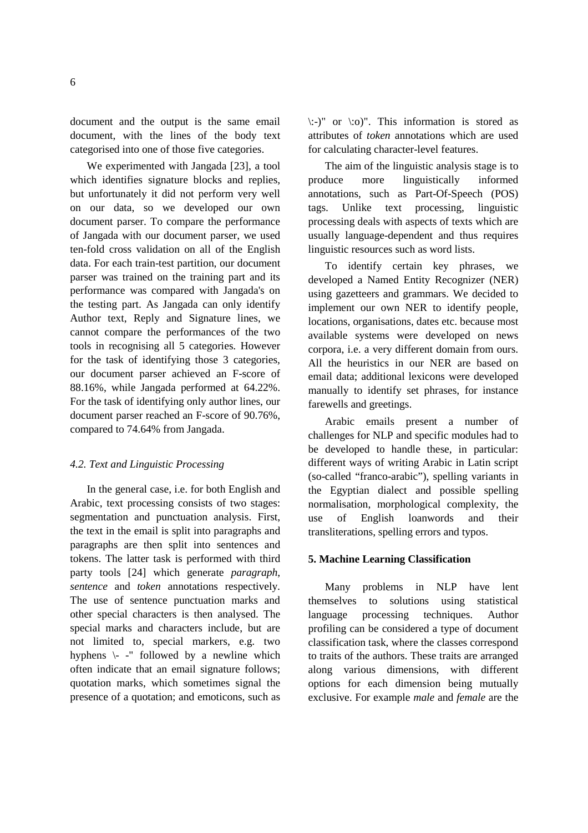document and the output is the same email document, with the lines of the body text categorised into one of those five categories.

We experimented with Jangada [23], a tool which identifies signature blocks and replies, but unfortunately it did not perform very well on our data, so we developed our own document parser. To compare the performance of Jangada with our document parser, we used ten-fold cross validation on all of the English data. For each train-test partition, our document parser was trained on the training part and its performance was compared with Jangada's on the testing part. As Jangada can only identify Author text, Reply and Signature lines, we cannot compare the performances of the two tools in recognising all 5 categories. However for the task of identifying those 3 categories, our document parser achieved an F-score of 88.16%, while Jangada performed at 64.22%. For the task of identifying only author lines, our document parser reached an F-score of 90.76%, compared to 74.64% from Jangada.

## *4.2. Text and Linguistic Processing*

In the general case, i.e. for both English and Arabic, text processing consists of two stages: segmentation and punctuation analysis. First, the text in the email is split into paragraphs and paragraphs are then split into sentences and tokens. The latter task is performed with third party tools [24] which generate *paragraph*, *sentence* and *token* annotations respectively. The use of sentence punctuation marks and other special characters is then analysed. The special marks and characters include, but are not limited to, special markers, e.g. two hyphens \- -" followed by a newline which often indicate that an email signature follows; quotation marks, which sometimes signal the presence of a quotation; and emoticons, such as  $\therefore$ )" or  $\therefore$  o)". This information is stored as attributes of *token* annotations which are used for calculating character-level features.

The aim of the linguistic analysis stage is to produce more linguistically informed annotations, such as Part-Of-Speech (POS) tags. Unlike text processing, linguistic processing deals with aspects of texts which are usually language-dependent and thus requires linguistic resources such as word lists.

To identify certain key phrases, we developed a Named Entity Recognizer (NER) using gazetteers and grammars. We decided to implement our own NER to identify people, locations, organisations, dates etc. because most available systems were developed on news corpora, i.e. a very different domain from ours. All the heuristics in our NER are based on email data; additional lexicons were developed manually to identify set phrases, for instance farewells and greetings.

Arabic emails present a number of challenges for NLP and specific modules had to be developed to handle these, in particular: different ways of writing Arabic in Latin script (so-called "franco-arabic"), spelling variants in the Egyptian dialect and possible spelling normalisation, morphological complexity, the use of English loanwords and their transliterations, spelling errors and typos.

# **5. Machine Learning Classification**

Many problems in NLP have lent themselves to solutions using statistical language processing techniques. Author profiling can be considered a type of document classification task, where the classes correspond to traits of the authors. These traits are arranged along various dimensions, with different options for each dimension being mutually exclusive. For example *male* and *female* are the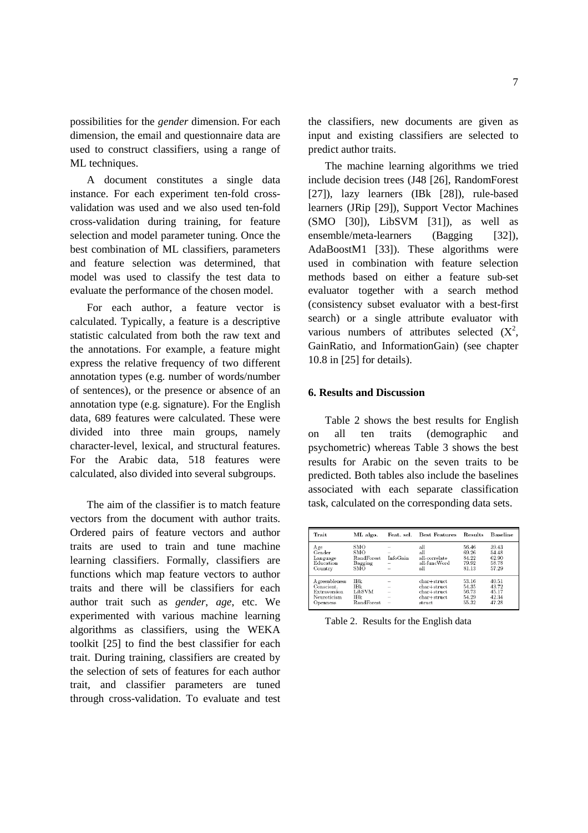possibilities for the *gender* dimension. For each dimension, the email and questionnaire data are used to construct classifiers, using a range of ML techniques.

A document constitutes a single data instance. For each experiment ten-fold crossvalidation was used and we also used ten-fold cross-validation during training, for feature selection and model parameter tuning. Once the best combination of ML classifiers, parameters and feature selection was determined, that model was used to classify the test data to evaluate the performance of the chosen model.

For each author, a feature vector is calculated. Typically, a feature is a descriptive statistic calculated from both the raw text and the annotations. For example, a feature might express the relative frequency of two different annotation types (e.g. number of words/number of sentences), or the presence or absence of an annotation type (e.g. signature). For the English data, 689 features were calculated. These were divided into three main groups, namely character-level, lexical, and structural features. For the Arabic data, 518 features were calculated, also divided into several subgroups.

The aim of the classifier is to match feature vectors from the document with author traits. Ordered pairs of feature vectors and author traits are used to train and tune machine learning classifiers. Formally, classifiers are functions which map feature vectors to author traits and there will be classifiers for each author trait such as *gender*, *age*, etc. We experimented with various machine learning algorithms as classifiers, using the WEKA toolkit [25] to find the best classifier for each trait. During training, classifiers are created by the selection of sets of features for each author trait, and classifier parameters are tuned through cross-validation. To evaluate and test the classifiers, new documents are given as input and existing classifiers are selected to predict author traits.

The machine learning algorithms we tried include decision trees (J48 [26], RandomForest [27]), lazy learners (IBk [28]), rule-based learners (JRip [29]), Support Vector Machines (SMO [30]), LibSVM [31]), as well as ensemble/meta-learners (Bagging [32]), AdaBoostM1 [33]). These algorithms were used in combination with feature selection methods based on either a feature sub-set evaluator together with a search method (consistency subset evaluator with a best-first search) or a single attribute evaluator with various numbers of attributes selected  $(X^2)$ , GainRatio, and InformationGain) (see chapter 10.8 in [25] for details).

# **6. Results and Discussion**

Table 2 shows the best results for English on all ten traits (demographic and psychometric) whereas Table 3 shows the best results for Arabic on the seven traits to be predicted. Both tables also include the baselines associated with each separate classification task, calculated on the corresponding data sets.

| Trait                                                                          | ML algo.                                          | Feat. sel.                                | Best Features                                                                    | <b>Results</b>                            | <b>Baseline</b>                           |
|--------------------------------------------------------------------------------|---------------------------------------------------|-------------------------------------------|----------------------------------------------------------------------------------|-------------------------------------------|-------------------------------------------|
| A ge<br>Gender<br>Language<br>Education<br>Country                             | SMO<br><b>SMO</b><br>RandForest<br>Bagging<br>SMO | $\overline{\phantom{a}}$<br>InfoGain<br>- | all<br>all<br>all-correlate<br>all-funcWord<br>all                               | 56.46<br>69.26<br>84.22<br>79.92<br>81.13 | 39.43<br>54.48<br>62.90<br>58.78<br>57.29 |
| <b>A</b> greeableness<br>Conscient.<br>Extraversion<br>Neuroticism<br>Openness | IBk<br>IBk<br>LibSVM<br>IBk<br><b>RandForest</b>  | -<br>-<br>-                               | $char + struct$<br>$char + struct$<br>$char+struct$<br>$char + struct$<br>struct | 53.16<br>54.35<br>56.73<br>54.29<br>55.32 | 40.51<br>43.72<br>45.17<br>42.34<br>47.28 |

Table 2. Results for the English data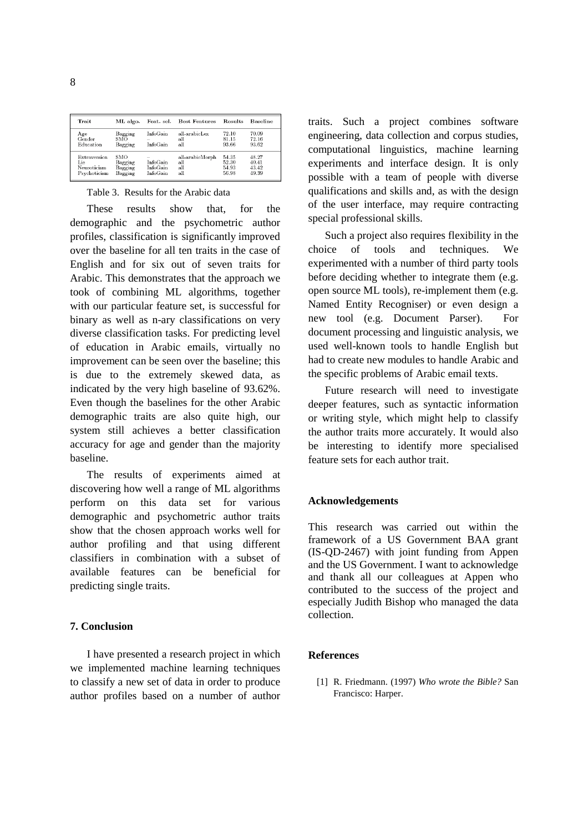| Trait                                              | ML algo.                             |                                  | Feat. sel. Best Features             | ${\rm Results}$                  | Baseline                         |
|----------------------------------------------------|--------------------------------------|----------------------------------|--------------------------------------|----------------------------------|----------------------------------|
| Age<br>Gender<br>Education                         | Bagging<br>SMO<br>Bagging            | InfoGain<br>$\sim$<br>InfoGain   | all-arabicLex<br>all<br>all          | 72.10<br>81.15<br>93.66          | 70.09<br>72.16<br>93.62          |
| Extraversion<br>Lie<br>Neuroticism<br>Psychoticism | SMO<br>Bagging<br>Bagging<br>Bagging | InfoGain<br>InfoGain<br>InfoGain | all-arabicMorph<br>all<br>all<br>all | 54.35<br>52.30<br>54.93<br>56.98 | 48.27<br>40.41<br>43.42<br>49.39 |

#### Table 3. Results for the Arabic data

These results show that, for the demographic and the psychometric author profiles, classification is significantly improved over the baseline for all ten traits in the case of English and for six out of seven traits for Arabic. This demonstrates that the approach we took of combining ML algorithms, together with our particular feature set, is successful for binary as well as n-ary classifications on very diverse classification tasks. For predicting level of education in Arabic emails, virtually no improvement can be seen over the baseline; this is due to the extremely skewed data, as indicated by the very high baseline of 93.62%. Even though the baselines for the other Arabic demographic traits are also quite high, our system still achieves a better classification accuracy for age and gender than the majority baseline.

The results of experiments aimed at discovering how well a range of ML algorithms perform on this data set for various demographic and psychometric author traits show that the chosen approach works well for author profiling and that using different classifiers in combination with a subset of available features can be beneficial for predicting single traits.

# **7. Conclusion**

I have presented a research project in which we implemented machine learning techniques to classify a new set of data in order to produce author profiles based on a number of author traits. Such a project combines software engineering, data collection and corpus studies, computational linguistics, machine learning experiments and interface design. It is only possible with a team of people with diverse qualifications and skills and, as with the design of the user interface, may require contracting special professional skills.

Such a project also requires flexibility in the choice of tools and techniques. We experimented with a number of third party tools before deciding whether to integrate them (e.g. open source ML tools), re-implement them (e.g. Named Entity Recogniser) or even design a new tool (e.g. Document Parser). For document processing and linguistic analysis, we used well-known tools to handle English but had to create new modules to handle Arabic and the specific problems of Arabic email texts.

Future research will need to investigate deeper features, such as syntactic information or writing style, which might help to classify the author traits more accurately. It would also be interesting to identify more specialised feature sets for each author trait.

#### **Acknowledgements**

This research was carried out within the framework of a US Government BAA grant (IS-QD-2467) with joint funding from Appen and the US Government. I want to acknowledge and thank all our colleagues at Appen who contributed to the success of the project and especially Judith Bishop who managed the data collection.

#### **References**

[1] R. Friedmann. (1997) *Who wrote the Bible?* San Francisco: Harper.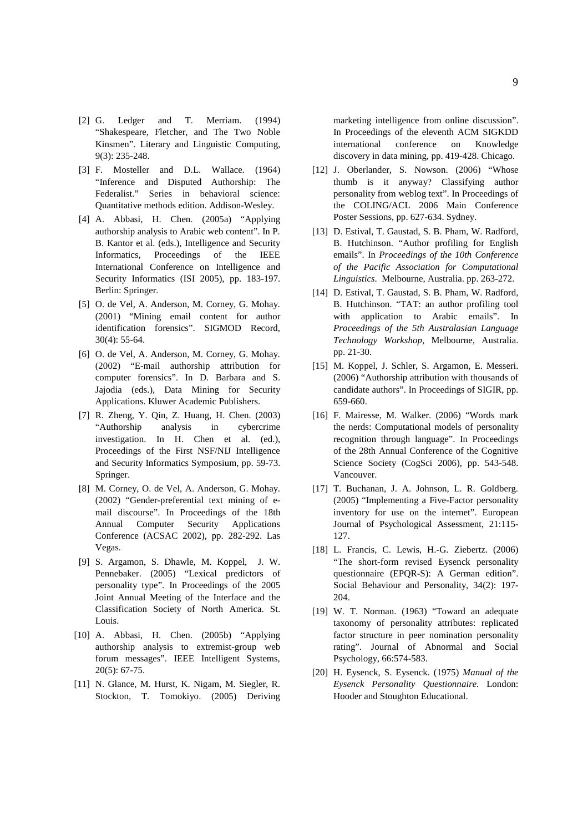- [2] G. Ledger and T. Merriam. (1994) "Shakespeare, Fletcher, and The Two Noble Kinsmen". Literary and Linguistic Computing, 9(3): 235-248.
- [3] F. Mosteller and D.L. Wallace. (1964) "Inference and Disputed Authorship: The Federalist." Series in behavioral science: Quantitative methods edition. Addison-Wesley.
- [4] A. Abbasi, H. Chen. (2005a) "Applying authorship analysis to Arabic web content". In P. B. Kantor et al. (eds.), Intelligence and Security Informatics, Proceedings of the IEEE International Conference on Intelligence and Security Informatics (ISI 2005), pp. 183-197. Berlin: Springer.
- [5] O. de Vel, A. Anderson, M. Corney, G. Mohay. (2001) "Mining email content for author identification forensics". SIGMOD Record, 30(4): 55-64.
- [6] O. de Vel, A. Anderson, M. Corney, G. Mohay. (2002) "E-mail authorship attribution for computer forensics". In D. Barbara and S. Jajodia (eds.), Data Mining for Security Applications. Kluwer Academic Publishers.
- [7] R. Zheng, Y. Qin, Z. Huang, H. Chen. (2003) "Authorship analysis in cybercrime investigation. In H. Chen et al. (ed.), Proceedings of the First NSF/NIJ Intelligence and Security Informatics Symposium, pp. 59-73. Springer.
- [8] M. Corney, O. de Vel, A. Anderson, G. Mohay. (2002) "Gender-preferential text mining of email discourse". In Proceedings of the 18th Annual Computer Security Applications Conference (ACSAC 2002), pp. 282-292. Las Vegas.
- [9] S. Argamon, S. Dhawle, M. Koppel, J. W. Pennebaker. (2005) "Lexical predictors of personality type". In Proceedings of the 2005 Joint Annual Meeting of the Interface and the Classification Society of North America. St. Louis.
- [10] A. Abbasi, H. Chen. (2005b) "Applying authorship analysis to extremist-group web forum messages". IEEE Intelligent Systems, 20(5): 67-75.
- [11] N. Glance, M. Hurst, K. Nigam, M. Siegler, R. Stockton, T. Tomokiyo. (2005) Deriving

marketing intelligence from online discussion". In Proceedings of the eleventh ACM SIGKDD international conference on Knowledge discovery in data mining, pp. 419-428. Chicago.

- [12] J. Oberlander, S. Nowson. (2006) "Whose thumb is it anyway? Classifying author personality from weblog text". In Proceedings of the COLING/ACL 2006 Main Conference Poster Sessions, pp. 627-634. Sydney.
- [13] D. Estival, T. Gaustad, S. B. Pham, W. Radford, B. Hutchinson. "Author profiling for English emails". In *Proceedings of the 10th Conference of the Pacific Association for Computational Linguistics*. Melbourne, Australia. pp. 263-272.
- [14] D. Estival, T. Gaustad, S. B. Pham, W. Radford, B. Hutchinson. "TAT: an author profiling tool with application to Arabic emails". In *Proceedings of the 5th Australasian Language Technology Workshop*, Melbourne, Australia. pp. 21-30.
- [15] M. Koppel, J. Schler, S. Argamon, E. Messeri. (2006) "Authorship attribution with thousands of candidate authors". In Proceedings of SIGIR, pp. 659-660.
- [16] F. Mairesse, M. Walker. (2006) "Words mark the nerds: Computational models of personality recognition through language". In Proceedings of the 28th Annual Conference of the Cognitive Science Society (CogSci 2006), pp. 543-548. Vancouver.
- [17] T. Buchanan, J. A. Johnson, L. R. Goldberg. (2005) "Implementing a Five-Factor personality inventory for use on the internet". European Journal of Psychological Assessment, 21:115- 127.
- [18] L. Francis, C. Lewis, H.-G. Ziebertz. (2006) "The short-form revised Eysenck personality questionnaire (EPQR-S): A German edition". Social Behaviour and Personality, 34(2): 197- 204.
- [19] W. T. Norman. (1963) "Toward an adequate taxonomy of personality attributes: replicated factor structure in peer nomination personality rating". Journal of Abnormal and Social Psychology, 66:574-583.
- [20] H. Eysenck, S. Eysenck. (1975) *Manual of the Eysenck Personality Questionnaire.* London: Hooder and Stoughton Educational.